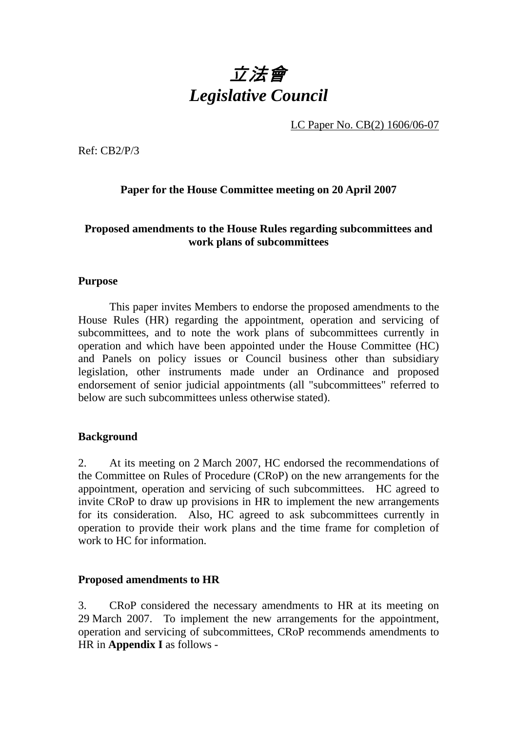# 立法會 *Legislative Council*

LC Paper No. CB(2) 1606/06-07

Ref: CB2/P/3

# **Paper for the House Committee meeting on 20 April 2007**

# **Proposed amendments to the House Rules regarding subcommittees and work plans of subcommittees**

## **Purpose**

1. This paper invites Members to endorse the proposed amendments to the House Rules (HR) regarding the appointment, operation and servicing of subcommittees, and to note the work plans of subcommittees currently in operation and which have been appointed under the House Committee (HC) and Panels on policy issues or Council business other than subsidiary legislation, other instruments made under an Ordinance and proposed endorsement of senior judicial appointments (all "subcommittees" referred to below are such subcommittees unless otherwise stated).

## **Background**

2. At its meeting on 2 March 2007, HC endorsed the recommendations of the Committee on Rules of Procedure (CRoP) on the new arrangements for the appointment, operation and servicing of such subcommittees. HC agreed to invite CRoP to draw up provisions in HR to implement the new arrangements for its consideration. Also, HC agreed to ask subcommittees currently in operation to provide their work plans and the time frame for completion of work to HC for information.

## **Proposed amendments to HR**

3. CRoP considered the necessary amendments to HR at its meeting on 29 March 2007. To implement the new arrangements for the appointment, operation and servicing of subcommittees, CRoP recommends amendments to HR in **Appendix I** as follows -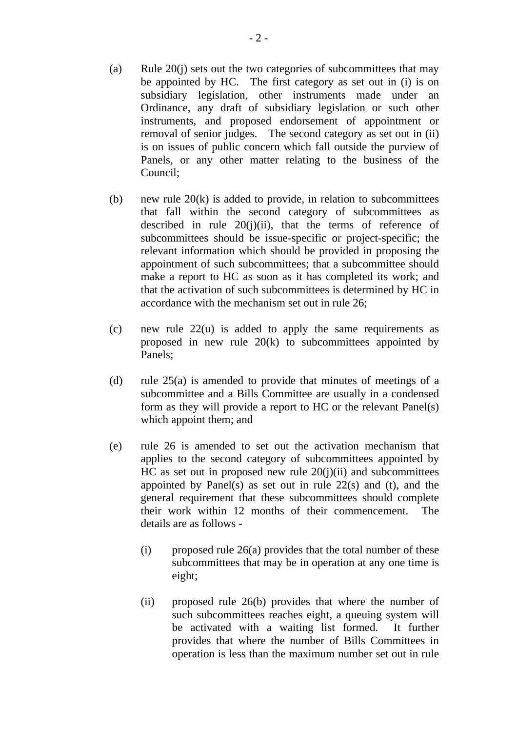- (a) Rule  $20(i)$  sets out the two categories of subcommittees that may be appointed by HC. The first category as set out in (i) is on subsidiary legislation, other instruments made under an Ordinance, any draft of subsidiary legislation or such other instruments, and proposed endorsement of appointment or removal of senior judges. The second category as set out in (ii) is on issues of public concern which fall outside the purview of Panels, or any other matter relating to the business of the Council;
- (b) new rule  $20(k)$  is added to provide, in relation to subcommittees that fall within the second category of subcommittees as described in rule  $20(i)(ii)$ , that the terms of reference of subcommittees should be issue-specific or project-specific; the relevant information which should be provided in proposing the appointment of such subcommittees; that a subcommittee should make a report to HC as soon as it has completed its work; and that the activation of such subcommittees is determined by HC in accordance with the mechanism set out in rule 26;
- (c) new rule 22(u) is added to apply the same requirements as proposed in new rule 20(k) to subcommittees appointed by Panels;
- (d) rule 25(a) is amended to provide that minutes of meetings of a subcommittee and a Bills Committee are usually in a condensed form as they will provide a report to HC or the relevant Panel(s) which appoint them; and
- (e) rule 26 is amended to set out the activation mechanism that applies to the second category of subcommittees appointed by HC as set out in proposed new rule  $20(i)(ii)$  and subcommittees appointed by Panel(s) as set out in rule  $22(s)$  and (t), and the general requirement that these subcommittees should complete their work within 12 months of their commencement. The details are as follows -
	- (i) proposed rule  $26(a)$  provides that the total number of these subcommittees that may be in operation at any one time is eight;
	- (ii) proposed rule 26(b) provides that where the number of such subcommittees reaches eight, a queuing system will be activated with a waiting list formed. It further provides that where the number of Bills Committees in operation is less than the maximum number set out in rule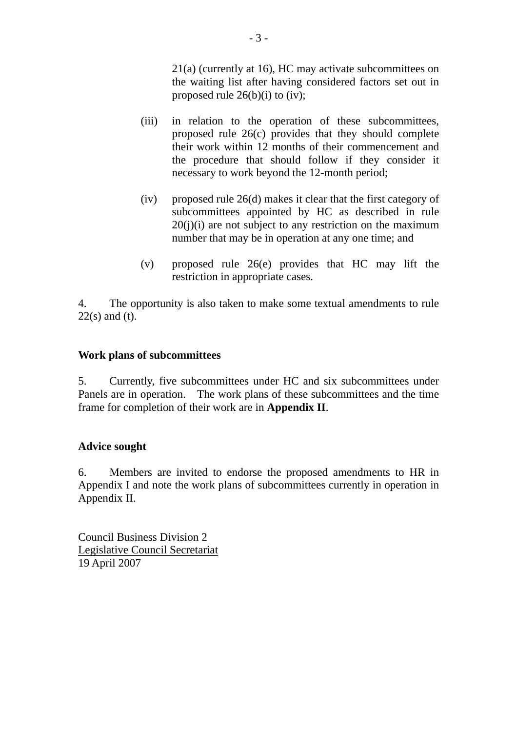21(a) (currently at 16), HC may activate subcommittees on the waiting list after having considered factors set out in proposed rule  $26(b)(i)$  to (iv);

- (iii) in relation to the operation of these subcommittees, proposed rule 26(c) provides that they should complete their work within 12 months of their commencement and the procedure that should follow if they consider it necessary to work beyond the 12-month period;
- (iv) proposed rule 26(d) makes it clear that the first category of subcommittees appointed by HC as described in rule  $20(i)(i)$  are not subject to any restriction on the maximum number that may be in operation at any one time; and
- (v) proposed rule 26(e) provides that HC may lift the restriction in appropriate cases.

4. The opportunity is also taken to make some textual amendments to rule 22(s) and (t).

# **Work plans of subcommittees**

5. Currently, five subcommittees under HC and six subcommittees under Panels are in operation. The work plans of these subcommittees and the time frame for completion of their work are in **Appendix II**.

# **Advice sought**

6. Members are invited to endorse the proposed amendments to HR in Appendix I and note the work plans of subcommittees currently in operation in Appendix II.

Council Business Division 2 Legislative Council Secretariat 19 April 2007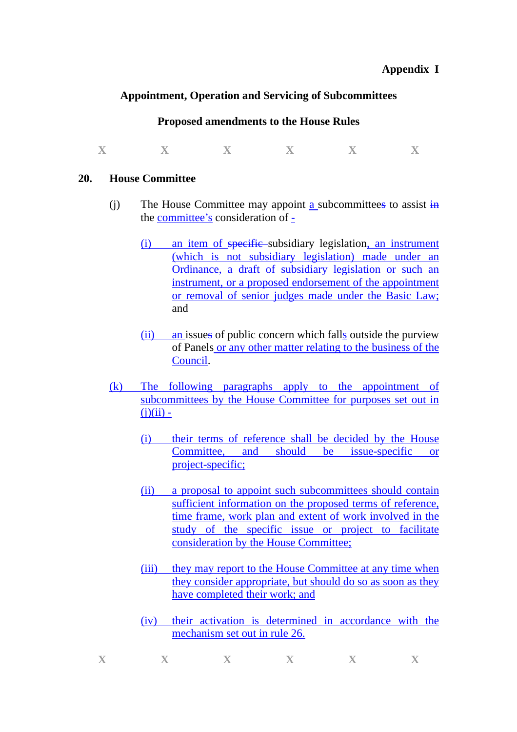#### **Appendix I**

## **Appointment, Operation and Servicing of Subcommittees**

#### **Proposed amendments to the House Rules**

 $\mathbf{X}$  **X**  $\mathbf{X}$  **X**  $\mathbf{X}$  **X**  $\mathbf{X}$ 

#### **20. House Committee**

- (i) The House Committee may appoint a subcommittees to assist  $\frac{1}{10}$ the committee's consideration of  $\frac{1}{x}$ 
	- (i) an item of specific subsidiary legislation, an instrument (which is not subsidiary legislation) made under an Ordinance, a draft of subsidiary legislation or such an instrument, or a proposed endorsement of the appointment or removal of senior judges made under the Basic Law; and
	- (ii) an issues of public concern which falls outside the purview of Panels or any other matter relating to the business of the Council.
- (k) The following paragraphs apply to the appointment of subcommittees by the House Committee for purposes set out in  $(j)(ii)$  -
	- (i) their terms of reference shall be decided by the House Committee, and should be issue-specific or project-specific;
	- (ii) a proposal to appoint such subcommittees should contain sufficient information on the proposed terms of reference, time frame, work plan and extent of work involved in the study of the specific issue or project to facilitate consideration by the House Committee;
	- (iii) they may report to the House Committee at any time when they consider appropriate, but should do so as soon as they have completed their work; and
	- (iv) their activation is determined in accordance with the mechanism set out in rule 26.

| v | $\equiv$ $\tau$ | $\overline{X}$ | $\overline{\mathbf{w}}$ | ਢ |
|---|-----------------|----------------|-------------------------|---|
|   |                 |                |                         |   |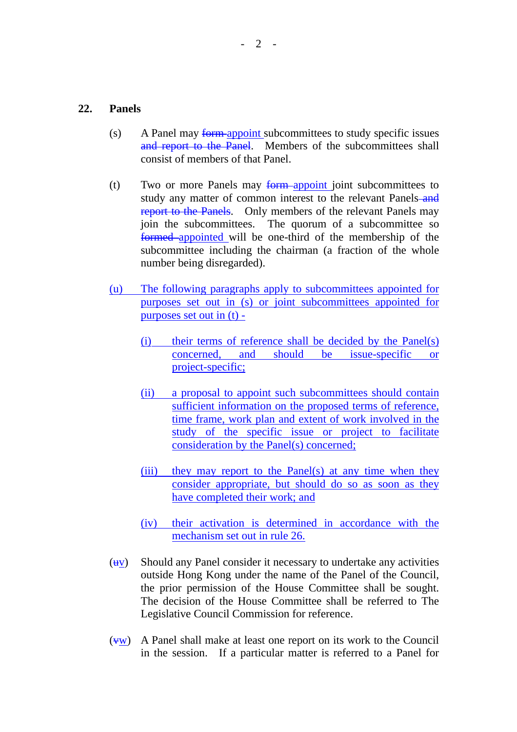#### **22. Panels**

- (s) A Panel may form-appoint subcommittees to study specific issues and report to the Panel. Members of the subcommittees shall consist of members of that Panel.
- (t) Two or more Panels may form appoint joint subcommittees to study any matter of common interest to the relevant Panels-and report to the Panels. Only members of the relevant Panels may join the subcommittees. The quorum of a subcommittee so formed appointed will be one-third of the membership of the subcommittee including the chairman (a fraction of the whole number being disregarded).
- (u) The following paragraphs apply to subcommittees appointed for purposes set out in (s) or joint subcommittees appointed for purposes set out in (t) -
	- (i) their terms of reference shall be decided by the Panel(s) concerned, and should be issue-specific or project-specific;
	- (ii) a proposal to appoint such subcommittees should contain sufficient information on the proposed terms of reference, time frame, work plan and extent of work involved in the study of the specific issue or project to facilitate consideration by the Panel(s) concerned;
	- (iii) they may report to the Panel(s) at any time when they consider appropriate, but should do so as soon as they have completed their work; and
	- (iv) their activation is determined in accordance with the mechanism set out in rule 26.
- $(uv)$  Should any Panel consider it necessary to undertake any activities outside Hong Kong under the name of the Panel of the Council, the prior permission of the House Committee shall be sought. The decision of the House Committee shall be referred to The Legislative Council Commission for reference.
- $(v,w)$  A Panel shall make at least one report on its work to the Council in the session. If a particular matter is referred to a Panel for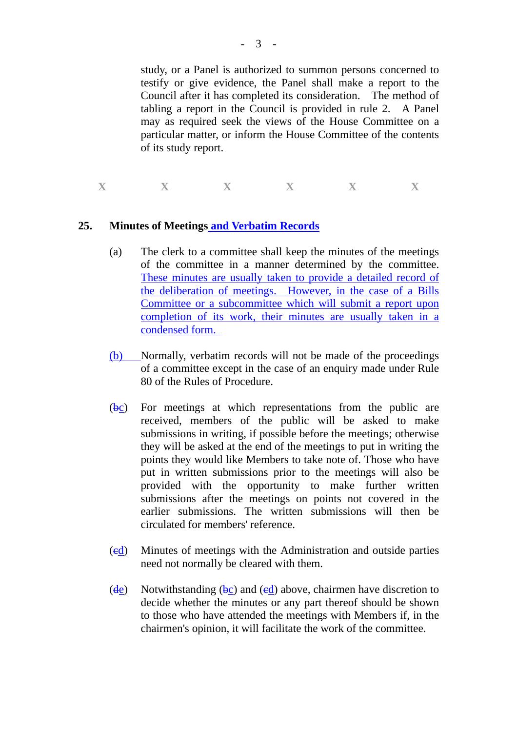study, or a Panel is authorized to summon persons concerned to testify or give evidence, the Panel shall make a report to the Council after it has completed its consideration. The method of tabling a report in the Council is provided in rule 2. A Panel may as required seek the views of the House Committee on a particular matter, or inform the House Committee of the contents of its study report.

**X X X X X X** 

## **25. Minutes of Meetings and Verbatim Records**

- (a) The clerk to a committee shall keep the minutes of the meetings of the committee in a manner determined by the committee. These minutes are usually taken to provide a detailed record of the deliberation of meetings. However, in the case of a Bills Committee or a subcommittee which will submit a report upon completion of its work, their minutes are usually taken in a condensed form.
- (b) Normally, verbatim records will not be made of the proceedings of a committee except in the case of an enquiry made under Rule 80 of the Rules of Procedure.
- (bc) For meetings at which representations from the public are received, members of the public will be asked to make submissions in writing, if possible before the meetings; otherwise they will be asked at the end of the meetings to put in writing the points they would like Members to take note of. Those who have put in written submissions prior to the meetings will also be provided with the opportunity to make further written submissions after the meetings on points not covered in the earlier submissions. The written submissions will then be circulated for members' reference.
- (cd) Minutes of meetings with the Administration and outside parties need not normally be cleared with them.
- (de) Notwithstanding (bc) and (ed) above, chairmen have discretion to decide whether the minutes or any part thereof should be shown to those who have attended the meetings with Members if, in the chairmen's opinion, it will facilitate the work of the committee.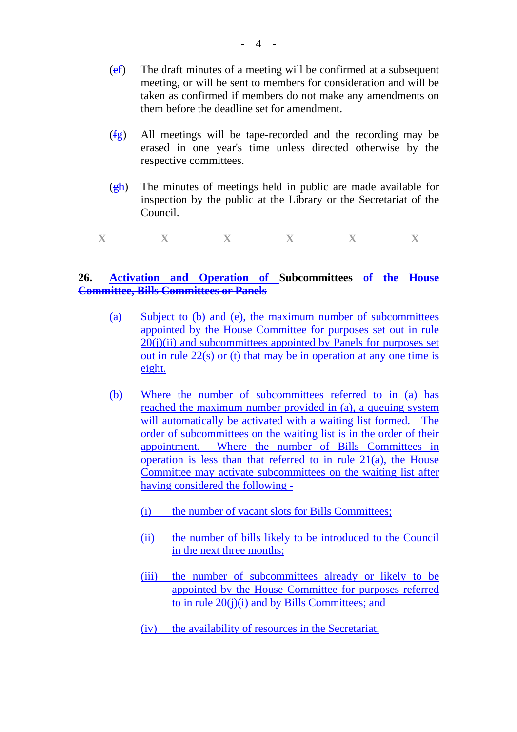- (ef) The draft minutes of a meeting will be confirmed at a subsequent meeting, or will be sent to members for consideration and will be taken as confirmed if members do not make any amendments on them before the deadline set for amendment.
- (fg) All meetings will be tape-recorded and the recording may be erased in one year's time unless directed otherwise by the respective committees.
- $\frac{g_h}{g}$ . The minutes of meetings held in public are made available for inspection by the public at the Library or the Secretariat of the Council.
- $\mathbf{X}$  **X**  $\mathbf{X}$  **X**  $\mathbf{X}$  **X**  $\mathbf{X}$

## **26. Activation and Operation of Subcommittees of the House Committee, Bills Committees or Panels**

- (a) Subject to (b) and (e), the maximum number of subcommittees appointed by the House Committee for purposes set out in rule  $20(i)(ii)$  and subcommittees appointed by Panels for purposes set out in rule  $22(s)$  or (t) that may be in operation at any one time is eight.
- (b) Where the number of subcommittees referred to in (a) has reached the maximum number provided in (a), a queuing system will automatically be activated with a waiting list formed. The order of subcommittees on the waiting list is in the order of their appointment. Where the number of Bills Committees in operation is less than that referred to in rule 21(a), the House Committee may activate subcommittees on the waiting list after having considered the following -
	- (i) the number of vacant slots for Bills Committees;
	- (ii) the number of bills likely to be introduced to the Council in the next three months;
	- (iii) the number of subcommittees already or likely to be appointed by the House Committee for purposes referred to in rule  $20(i)(i)$  and by Bills Committees; and
	- (iv) the availability of resources in the Secretariat.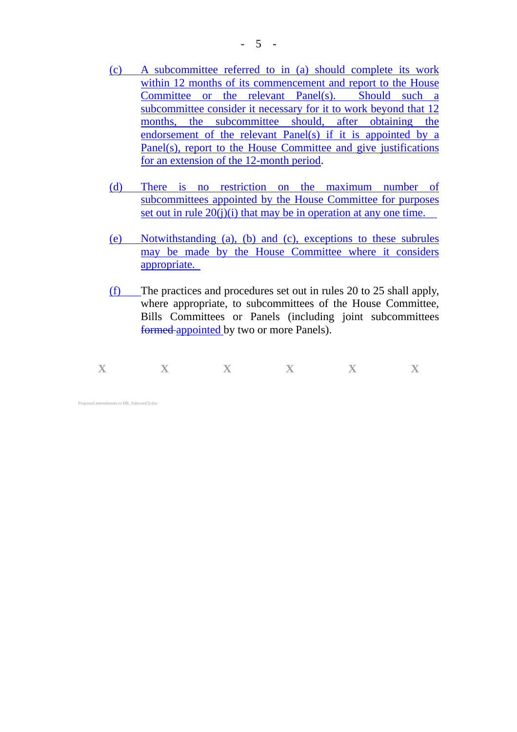- (c) A subcommittee referred to in (a) should complete its work within 12 months of its commencement and report to the House Committee or the relevant Panel(s). Should such a subcommittee consider it necessary for it to work beyond that 12 months, the subcommittee should, after obtaining the endorsement of the relevant Panel(s) if it is appointed by a Panel(s), report to the House Committee and give justifications for an extension of the 12-month period.
- (d) There is no restriction on the maximum number of subcommittees appointed by the House Committee for purposes set out in rule  $20(j)(i)$  that may be in operation at any one time.
- (e) Notwithstanding (a), (b) and (c), exceptions to these subrules may be made by the House Committee where it considers appropriate.
- (f) The practices and procedures set out in rules 20 to 25 shall apply, where appropriate, to subcommittees of the House Committee, Bills Committees or Panels (including joint subcommittees formed appointed by two or more Panels).

| $\overline{\phantom{a}}$ | $-$ | $\overline{\mathbf{x}}$ | $-$ | $\overline{\mathbf{x}}$<br>$\mathbf{x}$ |
|--------------------------|-----|-------------------------|-----|-----------------------------------------|
| --                       |     |                         |     |                                         |

Proposed amendments to HR\_Subcom(5).doc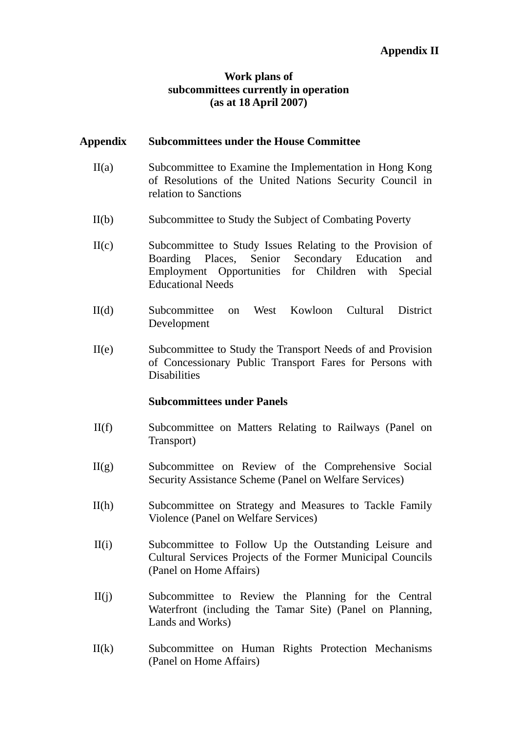# **Work plans of subcommittees currently in operation (as at 18 April 2007)**

## **Appendix Subcommittees under the House Committee**

- II(a) Subcommittee to Examine the Implementation in Hong Kong of Resolutions of the United Nations Security Council in relation to Sanctions
- II(b) Subcommittee to Study the Subject of Combating Poverty
- II(c) Subcommittee to Study Issues Relating to the Provision of Boarding Places, Senior Secondary Education and Employment Opportunities for Children with Special Educational Needs
- II(d) Subcommittee on West Kowloon Cultural District Development
- II(e) Subcommittee to Study the Transport Needs of and Provision of Concessionary Public Transport Fares for Persons with Disabilities

## **Subcommittees under Panels**

- II(f) Subcommittee on Matters Relating to Railways (Panel on Transport)
- II(g) Subcommittee on Review of the Comprehensive Social Security Assistance Scheme (Panel on Welfare Services)
- II(h) Subcommittee on Strategy and Measures to Tackle Family Violence (Panel on Welfare Services)
- II(i) Subcommittee to Follow Up the Outstanding Leisure and Cultural Services Projects of the Former Municipal Councils (Panel on Home Affairs)
- II(j) Subcommittee to Review the Planning for the Central Waterfront (including the Tamar Site) (Panel on Planning, Lands and Works)
- II(k) Subcommittee on Human Rights Protection Mechanisms (Panel on Home Affairs)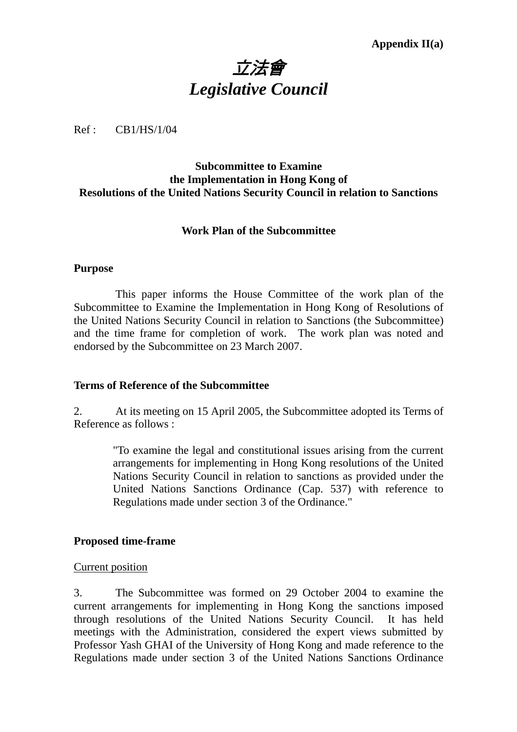# 立法會 *Legislative Council*

Ref : CB1/HS/1/04

## **Subcommittee to Examine the Implementation in Hong Kong of Resolutions of the United Nations Security Council in relation to Sanctions**

## **Work Plan of the Subcommittee**

#### **Purpose**

**1.** This paper informs the House Committee of the work plan of the Subcommittee to Examine the Implementation in Hong Kong of Resolutions of the United Nations Security Council in relation to Sanctions (the Subcommittee) and the time frame for completion of work. The work plan was noted and endorsed by the Subcommittee on 23 March 2007.

#### **Terms of Reference of the Subcommittee**

2. At its meeting on 15 April 2005, the Subcommittee adopted its Terms of Reference as follows :

> "To examine the legal and constitutional issues arising from the current arrangements for implementing in Hong Kong resolutions of the United Nations Security Council in relation to sanctions as provided under the United Nations Sanctions Ordinance (Cap. 537) with reference to Regulations made under section 3 of the Ordinance."

## **Proposed time-frame**

#### Current position

3. The Subcommittee was formed on 29 October 2004 to examine the current arrangements for implementing in Hong Kong the sanctions imposed through resolutions of the United Nations Security Council. It has held meetings with the Administration, considered the expert views submitted by Professor Yash GHAI of the University of Hong Kong and made reference to the Regulations made under section 3 of the United Nations Sanctions Ordinance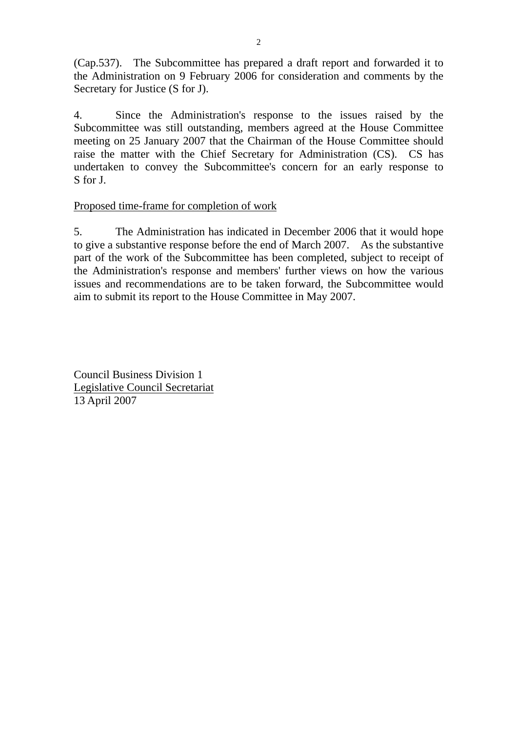(Cap.537). The Subcommittee has prepared a draft report and forwarded it to the Administration on 9 February 2006 for consideration and comments by the Secretary for Justice (S for J).

4. Since the Administration's response to the issues raised by the Subcommittee was still outstanding, members agreed at the House Committee meeting on 25 January 2007 that the Chairman of the House Committee should raise the matter with the Chief Secretary for Administration (CS). CS has undertaken to convey the Subcommittee's concern for an early response to S for J.

# Proposed time-frame for completion of work

5. The Administration has indicated in December 2006 that it would hope to give a substantive response before the end of March 2007. As the substantive part of the work of the Subcommittee has been completed, subject to receipt of the Administration's response and members' further views on how the various issues and recommendations are to be taken forward, the Subcommittee would aim to submit its report to the House Committee in May 2007.

Council Business Division 1 Legislative Council Secretariat 13 April 2007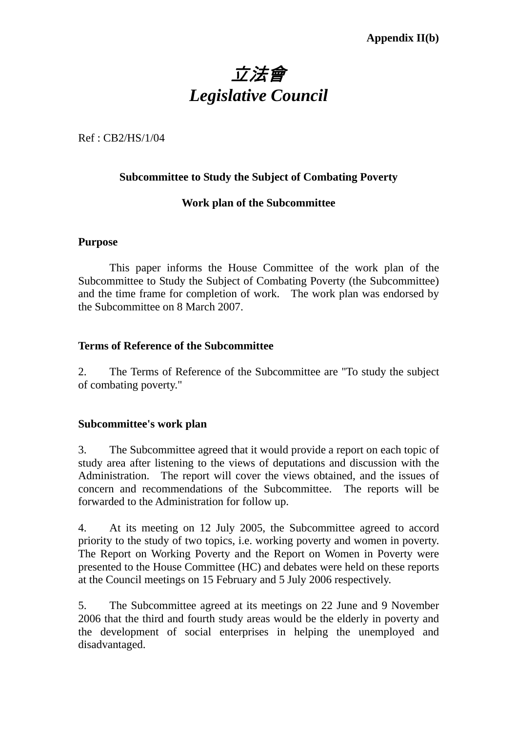# 立法會 *Legislative Council*

Ref : CB2/HS/1/04

# **Subcommittee to Study the Subject of Combating Poverty**

# **Work plan of the Subcommittee**

## **Purpose**

1. This paper informs the House Committee of the work plan of the Subcommittee to Study the Subject of Combating Poverty (the Subcommittee) and the time frame for completion of work. The work plan was endorsed by the Subcommittee on 8 March 2007.

## **Terms of Reference of the Subcommittee**

2. The Terms of Reference of the Subcommittee are "To study the subject of combating poverty."

## **Subcommittee's work plan**

3. The Subcommittee agreed that it would provide a report on each topic of study area after listening to the views of deputations and discussion with the Administration. The report will cover the views obtained, and the issues of concern and recommendations of the Subcommittee. The reports will be forwarded to the Administration for follow up.

4. At its meeting on 12 July 2005, the Subcommittee agreed to accord priority to the study of two topics, i.e. working poverty and women in poverty. The Report on Working Poverty and the Report on Women in Poverty were presented to the House Committee (HC) and debates were held on these reports at the Council meetings on 15 February and 5 July 2006 respectively.

5. The Subcommittee agreed at its meetings on 22 June and 9 November 2006 that the third and fourth study areas would be the elderly in poverty and the development of social enterprises in helping the unemployed and disadvantaged.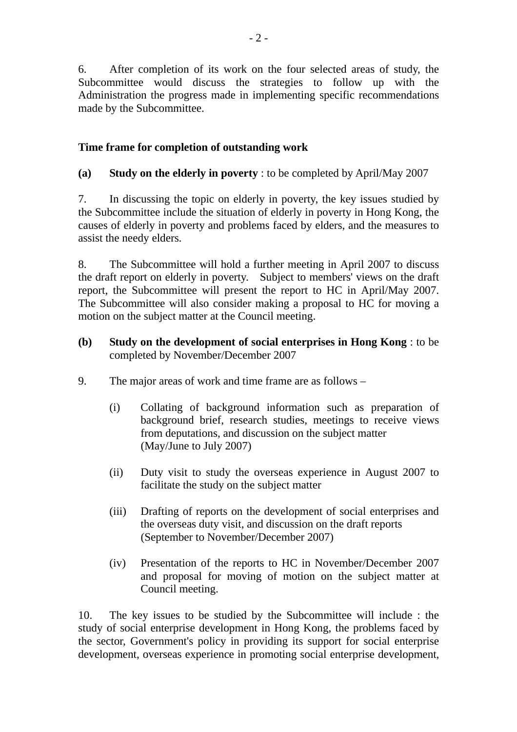6. After completion of its work on the four selected areas of study, the Subcommittee would discuss the strategies to follow up with the Administration the progress made in implementing specific recommendations made by the Subcommittee.

# **Time frame for completion of outstanding work**

**(a) Study on the elderly in poverty** : to be completed by April/May 2007

7. In discussing the topic on elderly in poverty, the key issues studied by the Subcommittee include the situation of elderly in poverty in Hong Kong, the causes of elderly in poverty and problems faced by elders, and the measures to assist the needy elders.

8. The Subcommittee will hold a further meeting in April 2007 to discuss the draft report on elderly in poverty. Subject to members' views on the draft report, the Subcommittee will present the report to HC in April/May 2007. The Subcommittee will also consider making a proposal to HC for moving a motion on the subject matter at the Council meeting.

# **(b) Study on the development of social enterprises in Hong Kong** : to be completed by November/December 2007

- 9. The major areas of work and time frame are as follows
	- (i) Collating of background information such as preparation of background brief, research studies, meetings to receive views from deputations, and discussion on the subject matter (May/June to July 2007)
	- (ii) Duty visit to study the overseas experience in August 2007 to facilitate the study on the subject matter
	- (iii) Drafting of reports on the development of social enterprises and the overseas duty visit, and discussion on the draft reports (September to November/December 2007)
	- (iv) Presentation of the reports to HC in November/December 2007 and proposal for moving of motion on the subject matter at Council meeting.

10. The key issues to be studied by the Subcommittee will include : the study of social enterprise development in Hong Kong, the problems faced by the sector, Government's policy in providing its support for social enterprise development, overseas experience in promoting social enterprise development,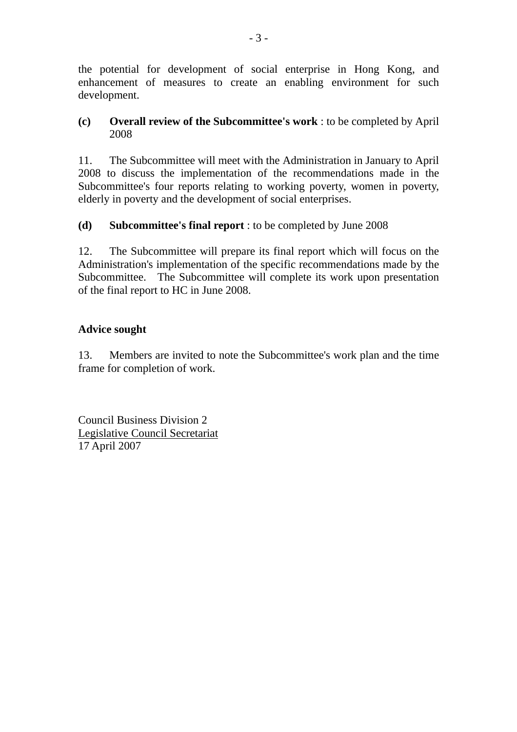the potential for development of social enterprise in Hong Kong, and enhancement of measures to create an enabling environment for such development.

# **(c) Overall review of the Subcommittee's work** : to be completed by April 2008

11. The Subcommittee will meet with the Administration in January to April 2008 to discuss the implementation of the recommendations made in the Subcommittee's four reports relating to working poverty, women in poverty, elderly in poverty and the development of social enterprises.

# **(d) Subcommittee's final report** : to be completed by June 2008

12. The Subcommittee will prepare its final report which will focus on the Administration's implementation of the specific recommendations made by the Subcommittee. The Subcommittee will complete its work upon presentation of the final report to HC in June 2008.

# **Advice sought**

13. Members are invited to note the Subcommittee's work plan and the time frame for completion of work.

Council Business Division 2 Legislative Council Secretariat 17 April 2007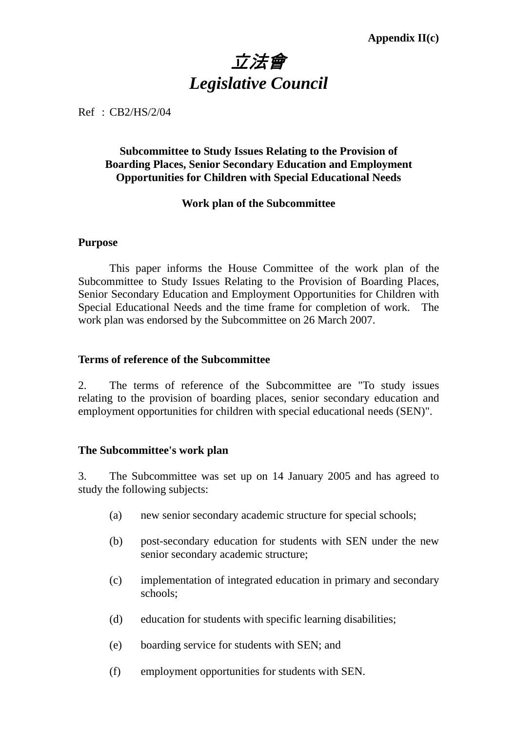# 立法會 *Legislative Council*

Ref : CB2/HS/2/04

# **Subcommittee to Study Issues Relating to the Provision of Boarding Places, Senior Secondary Education and Employment Opportunities for Children with Special Educational Needs**

## **Work plan of the Subcommittee**

#### **Purpose**

1. This paper informs the House Committee of the work plan of the Subcommittee to Study Issues Relating to the Provision of Boarding Places, Senior Secondary Education and Employment Opportunities for Children with Special Educational Needs and the time frame for completion of work. The work plan was endorsed by the Subcommittee on 26 March 2007.

## **Terms of reference of the Subcommittee**

2. The terms of reference of the Subcommittee are "To study issues relating to the provision of boarding places, senior secondary education and employment opportunities for children with special educational needs (SEN)".

## **The Subcommittee's work plan**

3. The Subcommittee was set up on 14 January 2005 and has agreed to study the following subjects:

- (a) new senior secondary academic structure for special schools;
- (b) post-secondary education for students with SEN under the new senior secondary academic structure;
- (c) implementation of integrated education in primary and secondary schools;
- (d) education for students with specific learning disabilities;
- (e) boarding service for students with SEN; and
- (f) employment opportunities for students with SEN.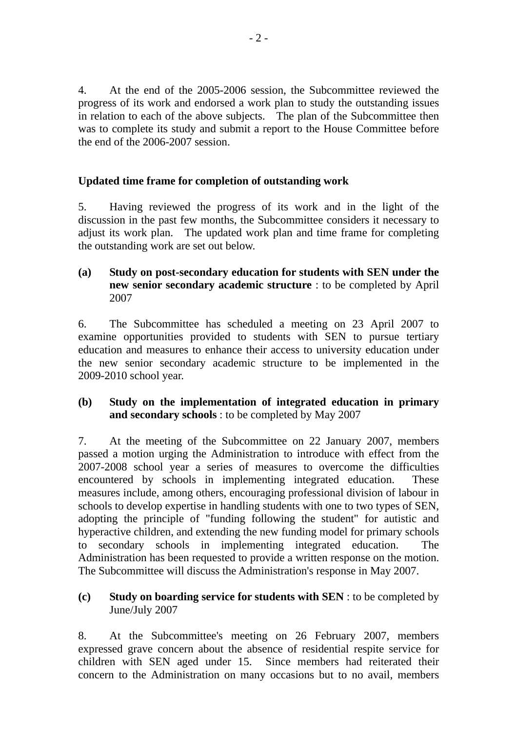4. At the end of the 2005-2006 session, the Subcommittee reviewed the progress of its work and endorsed a work plan to study the outstanding issues in relation to each of the above subjects. The plan of the Subcommittee then was to complete its study and submit a report to the House Committee before the end of the 2006-2007 session.

# **Updated time frame for completion of outstanding work**

5. Having reviewed the progress of its work and in the light of the discussion in the past few months, the Subcommittee considers it necessary to adjust its work plan. The updated work plan and time frame for completing the outstanding work are set out below.

**(a) Study on post-secondary education for students with SEN under the new senior secondary academic structure** : to be completed by April 2007

6. The Subcommittee has scheduled a meeting on 23 April 2007 to examine opportunities provided to students with SEN to pursue tertiary education and measures to enhance their access to university education under the new senior secondary academic structure to be implemented in the 2009-2010 school year.

# **(b) Study on the implementation of integrated education in primary and secondary schools** : to be completed by May 2007

7. At the meeting of the Subcommittee on 22 January 2007, members passed a motion urging the Administration to introduce with effect from the 2007-2008 school year a series of measures to overcome the difficulties encountered by schools in implementing integrated education. These measures include, among others, encouraging professional division of labour in schools to develop expertise in handling students with one to two types of SEN, adopting the principle of "funding following the student" for autistic and hyperactive children, and extending the new funding model for primary schools to secondary schools in implementing integrated education. The Administration has been requested to provide a written response on the motion. The Subcommittee will discuss the Administration's response in May 2007.

## **(c) Study on boarding service for students with SEN** : to be completed by June/July 2007

8. At the Subcommittee's meeting on 26 February 2007, members expressed grave concern about the absence of residential respite service for children with SEN aged under 15. Since members had reiterated their concern to the Administration on many occasions but to no avail, members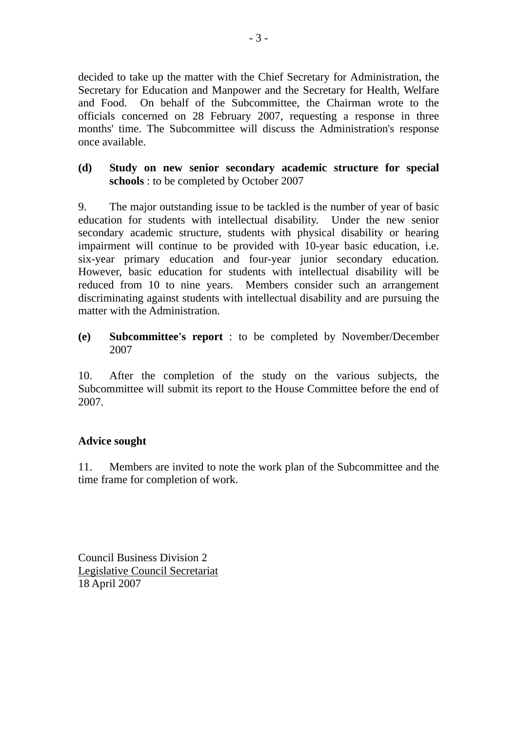decided to take up the matter with the Chief Secretary for Administration, the Secretary for Education and Manpower and the Secretary for Health, Welfare and Food. On behalf of the Subcommittee, the Chairman wrote to the officials concerned on 28 February 2007, requesting a response in three months' time. The Subcommittee will discuss the Administration's response once available.

## **(d) Study on new senior secondary academic structure for special schools** : to be completed by October 2007

9. The major outstanding issue to be tackled is the number of year of basic education for students with intellectual disability. Under the new senior secondary academic structure, students with physical disability or hearing impairment will continue to be provided with 10-year basic education, i.e. six-year primary education and four-year junior secondary education. However, basic education for students with intellectual disability will be reduced from 10 to nine years. Members consider such an arrangement discriminating against students with intellectual disability and are pursuing the matter with the Administration.

# **(e) Subcommittee's report** : to be completed by November/December 2007

10. After the completion of the study on the various subjects, the Subcommittee will submit its report to the House Committee before the end of 2007.

# **Advice sought**

11. Members are invited to note the work plan of the Subcommittee and the time frame for completion of work.

Council Business Division 2 Legislative Council Secretariat 18 April 2007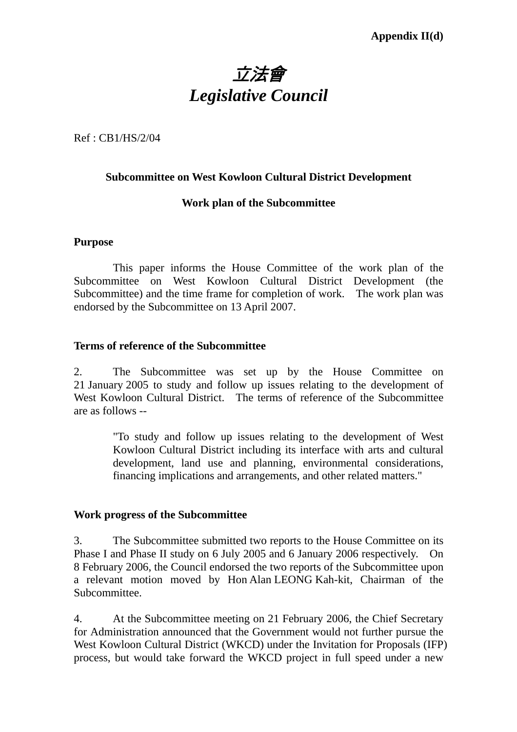

Ref : CB1/HS/2/04

## **Subcommittee on West Kowloon Cultural District Development**

## **Work plan of the Subcommittee**

## **Purpose**

 This paper informs the House Committee of the work plan of the Subcommittee on West Kowloon Cultural District Development (the Subcommittee) and the time frame for completion of work. The work plan was endorsed by the Subcommittee on 13 April 2007.

## **Terms of reference of the Subcommittee**

2. The Subcommittee was set up by the House Committee on 21 January 2005 to study and follow up issues relating to the development of West Kowloon Cultural District. The terms of reference of the Subcommittee are as follows --

> "To study and follow up issues relating to the development of West Kowloon Cultural District including its interface with arts and cultural development, land use and planning, environmental considerations, financing implications and arrangements, and other related matters."

## **Work progress of the Subcommittee**

3. The Subcommittee submitted two reports to the House Committee on its Phase I and Phase II study on 6 July 2005 and 6 January 2006 respectively. On 8 February 2006, the Council endorsed the two reports of the Subcommittee upon a relevant motion moved by Hon Alan LEONG Kah-kit, Chairman of the Subcommittee.

4. At the Subcommittee meeting on 21 February 2006, the Chief Secretary for Administration announced that the Government would not further pursue the West Kowloon Cultural District (WKCD) under the Invitation for Proposals (IFP) process, but would take forward the WKCD project in full speed under a new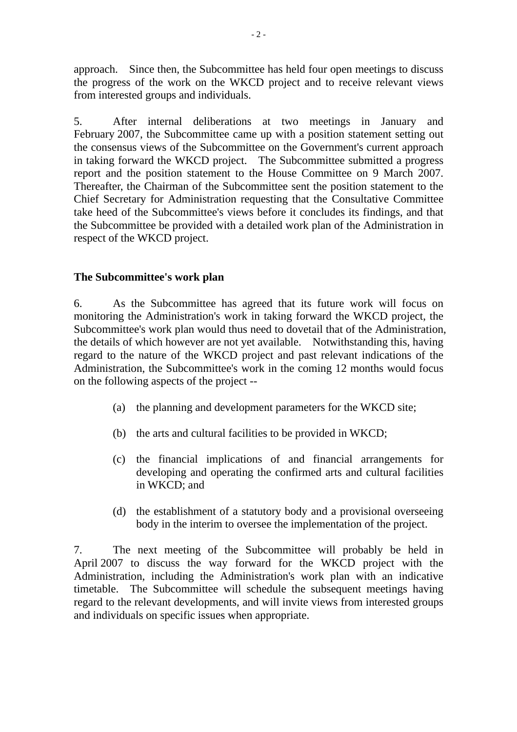approach. Since then, the Subcommittee has held four open meetings to discuss the progress of the work on the WKCD project and to receive relevant views from interested groups and individuals.

5. After internal deliberations at two meetings in January and February 2007, the Subcommittee came up with a position statement setting out the consensus views of the Subcommittee on the Government's current approach in taking forward the WKCD project. The Subcommittee submitted a progress report and the position statement to the House Committee on 9 March 2007. Thereafter, the Chairman of the Subcommittee sent the position statement to the Chief Secretary for Administration requesting that the Consultative Committee take heed of the Subcommittee's views before it concludes its findings, and that the Subcommittee be provided with a detailed work plan of the Administration in respect of the WKCD project.

# **The Subcommittee's work plan**

6. As the Subcommittee has agreed that its future work will focus on monitoring the Administration's work in taking forward the WKCD project, the Subcommittee's work plan would thus need to dovetail that of the Administration, the details of which however are not yet available. Notwithstanding this, having regard to the nature of the WKCD project and past relevant indications of the Administration, the Subcommittee's work in the coming 12 months would focus on the following aspects of the project --

- (a) the planning and development parameters for the WKCD site;
- (b) the arts and cultural facilities to be provided in WKCD;
- (c) the financial implications of and financial arrangements for developing and operating the confirmed arts and cultural facilities in WKCD; and
- (d) the establishment of a statutory body and a provisional overseeing body in the interim to oversee the implementation of the project.

7. The next meeting of the Subcommittee will probably be held in April 2007 to discuss the way forward for the WKCD project with the Administration, including the Administration's work plan with an indicative timetable. The Subcommittee will schedule the subsequent meetings having regard to the relevant developments, and will invite views from interested groups and individuals on specific issues when appropriate.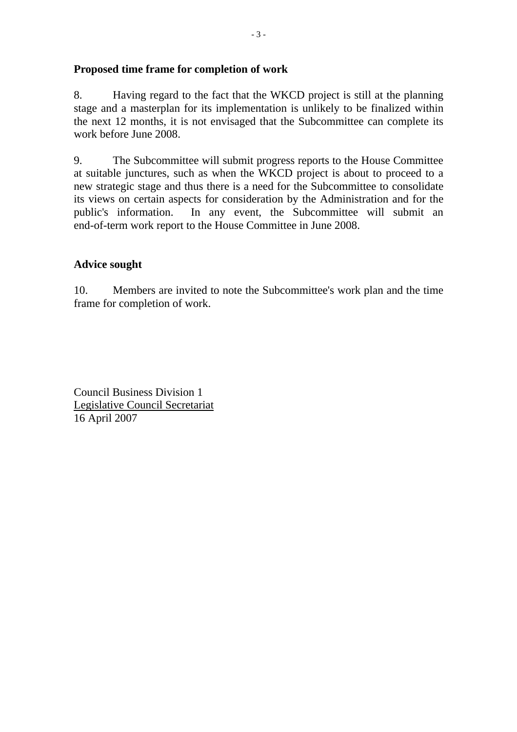## **Proposed time frame for completion of work**

8. Having regard to the fact that the WKCD project is still at the planning stage and a masterplan for its implementation is unlikely to be finalized within the next 12 months, it is not envisaged that the Subcommittee can complete its work before June 2008.

9. The Subcommittee will submit progress reports to the House Committee at suitable junctures, such as when the WKCD project is about to proceed to a new strategic stage and thus there is a need for the Subcommittee to consolidate its views on certain aspects for consideration by the Administration and for the public's information. In any event, the Subcommittee will submit an end-of-term work report to the House Committee in June 2008.

## **Advice sought**

10. Members are invited to note the Subcommittee's work plan and the time frame for completion of work.

Council Business Division 1 Legislative Council Secretariat 16 April 2007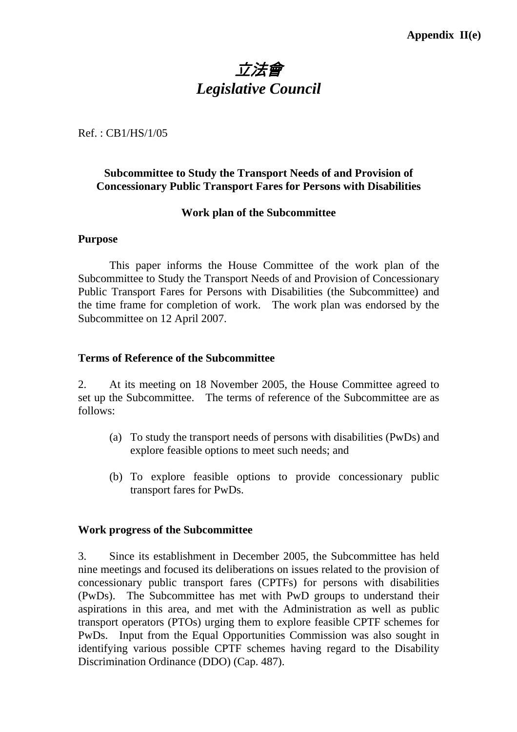# 立法會 *Legislative Council*

Ref. : CB1/HS/1/05

# **Subcommittee to Study the Transport Needs of and Provision of Concessionary Public Transport Fares for Persons with Disabilities**

## **Work plan of the Subcommittee**

#### **Purpose**

This paper informs the House Committee of the work plan of the Subcommittee to Study the Transport Needs of and Provision of Concessionary Public Transport Fares for Persons with Disabilities (the Subcommittee) and the time frame for completion of work. The work plan was endorsed by the Subcommittee on 12 April 2007.

## **Terms of Reference of the Subcommittee**

2. At its meeting on 18 November 2005, the House Committee agreed to set up the Subcommittee. The terms of reference of the Subcommittee are as follows:

- (a) To study the transport needs of persons with disabilities (PwDs) and explore feasible options to meet such needs; and
- (b) To explore feasible options to provide concessionary public transport fares for PwDs.

#### **Work progress of the Subcommittee**

3. Since its establishment in December 2005, the Subcommittee has held nine meetings and focused its deliberations on issues related to the provision of concessionary public transport fares (CPTFs) for persons with disabilities (PwDs). The Subcommittee has met with PwD groups to understand their aspirations in this area, and met with the Administration as well as public transport operators (PTOs) urging them to explore feasible CPTF schemes for PwDs. Input from the Equal Opportunities Commission was also sought in identifying various possible CPTF schemes having regard to the Disability Discrimination Ordinance (DDO) (Cap. 487).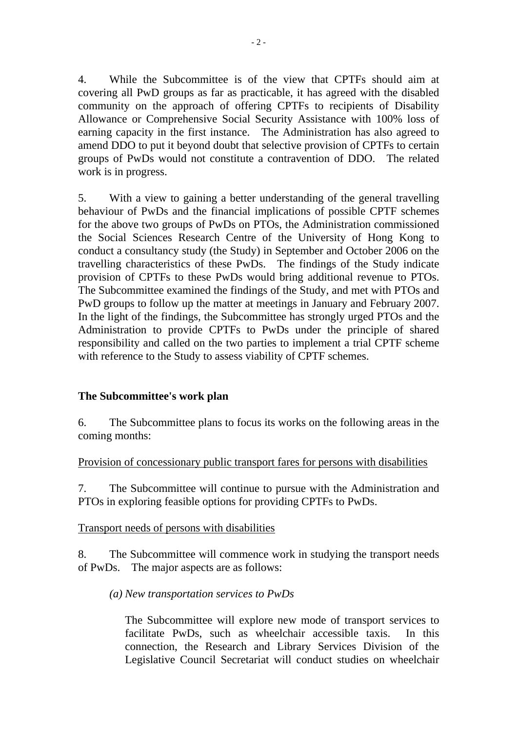4. While the Subcommittee is of the view that CPTFs should aim at covering all PwD groups as far as practicable, it has agreed with the disabled community on the approach of offering CPTFs to recipients of Disability Allowance or Comprehensive Social Security Assistance with 100% loss of earning capacity in the first instance. The Administration has also agreed to amend DDO to put it beyond doubt that selective provision of CPTFs to certain groups of PwDs would not constitute a contravention of DDO. The related work is in progress.

5. With a view to gaining a better understanding of the general travelling behaviour of PwDs and the financial implications of possible CPTF schemes for the above two groups of PwDs on PTOs, the Administration commissioned the Social Sciences Research Centre of the University of Hong Kong to conduct a consultancy study (the Study) in September and October 2006 on the travelling characteristics of these PwDs. The findings of the Study indicate provision of CPTFs to these PwDs would bring additional revenue to PTOs. The Subcommittee examined the findings of the Study, and met with PTOs and PwD groups to follow up the matter at meetings in January and February 2007. In the light of the findings, the Subcommittee has strongly urged PTOs and the Administration to provide CPTFs to PwDs under the principle of shared responsibility and called on the two parties to implement a trial CPTF scheme with reference to the Study to assess viability of CPTF schemes.

## **The Subcommittee's work plan**

6. The Subcommittee plans to focus its works on the following areas in the coming months:

Provision of concessionary public transport fares for persons with disabilities

7. The Subcommittee will continue to pursue with the Administration and PTOs in exploring feasible options for providing CPTFs to PwDs.

## Transport needs of persons with disabilities

8. The Subcommittee will commence work in studying the transport needs of PwDs. The major aspects are as follows:

# *(a) New transportation services to PwDs*

The Subcommittee will explore new mode of transport services to facilitate PwDs, such as wheelchair accessible taxis. In this connection, the Research and Library Services Division of the Legislative Council Secretariat will conduct studies on wheelchair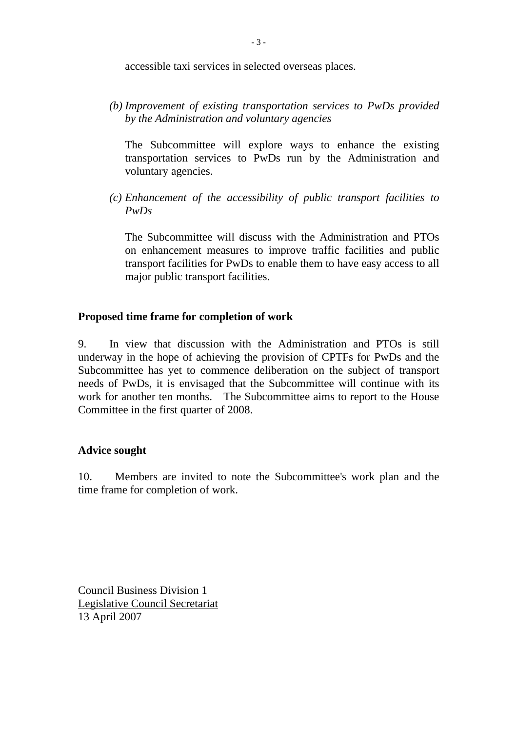accessible taxi services in selected overseas places.

*(b) Improvement of existing transportation services to PwDs provided by the Administration and voluntary agencies* 

The Subcommittee will explore ways to enhance the existing transportation services to PwDs run by the Administration and voluntary agencies.

*(c) Enhancement of the accessibility of public transport facilities to PwDs* 

The Subcommittee will discuss with the Administration and PTOs on enhancement measures to improve traffic facilities and public transport facilities for PwDs to enable them to have easy access to all major public transport facilities.

# **Proposed time frame for completion of work**

9. In view that discussion with the Administration and PTOs is still underway in the hope of achieving the provision of CPTFs for PwDs and the Subcommittee has yet to commence deliberation on the subject of transport needs of PwDs, it is envisaged that the Subcommittee will continue with its work for another ten months. The Subcommittee aims to report to the House Committee in the first quarter of 2008.

# **Advice sought**

10. Members are invited to note the Subcommittee's work plan and the time frame for completion of work.

Council Business Division 1 Legislative Council Secretariat 13 April 2007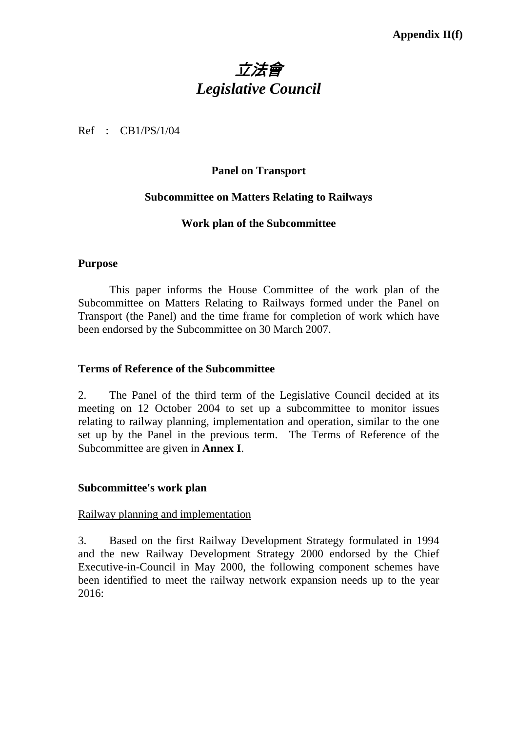# 立法會 *Legislative Council*

Ref : CB1/PS/1/04

## **Panel on Transport**

## **Subcommittee on Matters Relating to Railways**

## **Work plan of the Subcommittee**

#### **Purpose**

1 This paper informs the House Committee of the work plan of the Subcommittee on Matters Relating to Railways formed under the Panel on Transport (the Panel) and the time frame for completion of work which have been endorsed by the Subcommittee on 30 March 2007.

#### **Terms of Reference of the Subcommittee**

2. The Panel of the third term of the Legislative Council decided at its meeting on 12 October 2004 to set up a subcommittee to monitor issues relating to railway planning, implementation and operation, similar to the one set up by the Panel in the previous term. The Terms of Reference of the Subcommittee are given in **Annex I**.

## **Subcommittee's work plan**

## Railway planning and implementation

3. Based on the first Railway Development Strategy formulated in 1994 and the new Railway Development Strategy 2000 endorsed by the Chief Executive-in-Council in May 2000, the following component schemes have been identified to meet the railway network expansion needs up to the year 2016: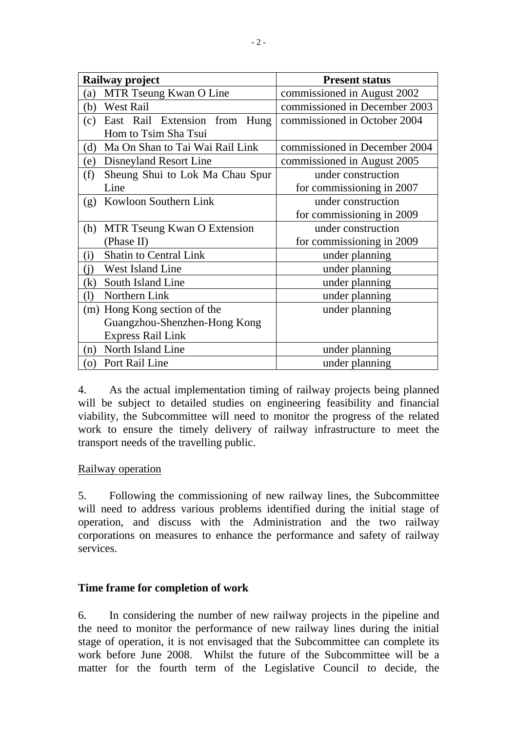| Railway project                         | <b>Present status</b>         |  |  |
|-----------------------------------------|-------------------------------|--|--|
| MTR Tseung Kwan O Line<br>(a)           | commissioned in August 2002   |  |  |
| West Rail<br>(b)                        | commissioned in December 2003 |  |  |
| East Rail Extension from<br>Hung<br>(c) | commissioned in October 2004  |  |  |
| Hom to Tsim Sha Tsui                    |                               |  |  |
| Ma On Shan to Tai Wai Rail Link<br>(d)  | commissioned in December 2004 |  |  |
| Disneyland Resort Line<br>(e)           | commissioned in August 2005   |  |  |
| Sheung Shui to Lok Ma Chau Spur<br>(f)  | under construction            |  |  |
| Line                                    | for commissioning in 2007     |  |  |
| Kowloon Southern Link<br>(g)            | under construction            |  |  |
|                                         | for commissioning in 2009     |  |  |
| MTR Tseung Kwan O Extension<br>(h)      | under construction            |  |  |
| (Phase II)                              | for commissioning in 2009     |  |  |
| Shatin to Central Link<br>(i)           | under planning                |  |  |
| West Island Line<br>(i)                 | under planning                |  |  |
| South Island Line<br>(k)                | under planning                |  |  |
| Northern Link<br>$\left(1\right)$       | under planning                |  |  |
| (m) Hong Kong section of the            | under planning                |  |  |
| Guangzhou-Shenzhen-Hong Kong            |                               |  |  |
| <b>Express Rail Link</b>                |                               |  |  |
| North Island Line<br>(n)                | under planning                |  |  |
| Port Rail Line<br>(0)                   | under planning                |  |  |

4. As the actual implementation timing of railway projects being planned will be subject to detailed studies on engineering feasibility and financial viability, the Subcommittee will need to monitor the progress of the related work to ensure the timely delivery of railway infrastructure to meet the transport needs of the travelling public.

## Railway operation

5. Following the commissioning of new railway lines, the Subcommittee will need to address various problems identified during the initial stage of operation, and discuss with the Administration and the two railway corporations on measures to enhance the performance and safety of railway services.

## **Time frame for completion of work**

6. In considering the number of new railway projects in the pipeline and the need to monitor the performance of new railway lines during the initial stage of operation, it is not envisaged that the Subcommittee can complete its work before June 2008. Whilst the future of the Subcommittee will be a matter for the fourth term of the Legislative Council to decide, the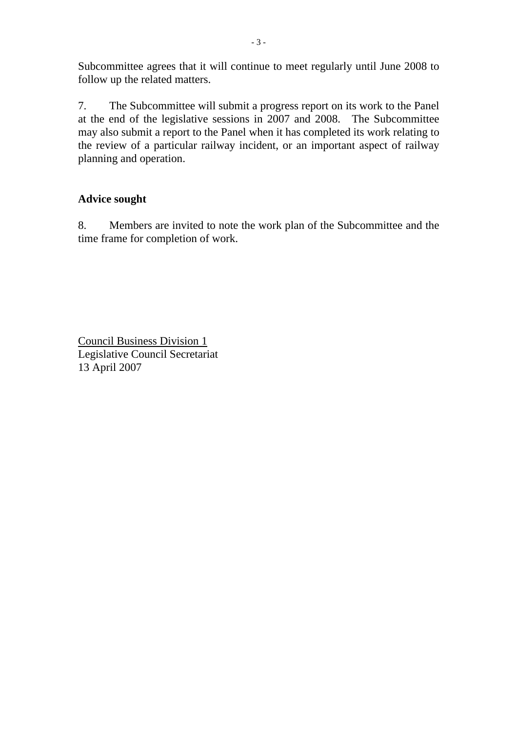Subcommittee agrees that it will continue to meet regularly until June 2008 to follow up the related matters.

7. The Subcommittee will submit a progress report on its work to the Panel at the end of the legislative sessions in 2007 and 2008. The Subcommittee may also submit a report to the Panel when it has completed its work relating to the review of a particular railway incident, or an important aspect of railway planning and operation.

# **Advice sought**

8. Members are invited to note the work plan of the Subcommittee and the time frame for completion of work.

Council Business Division 1 Legislative Council Secretariat 13 April 2007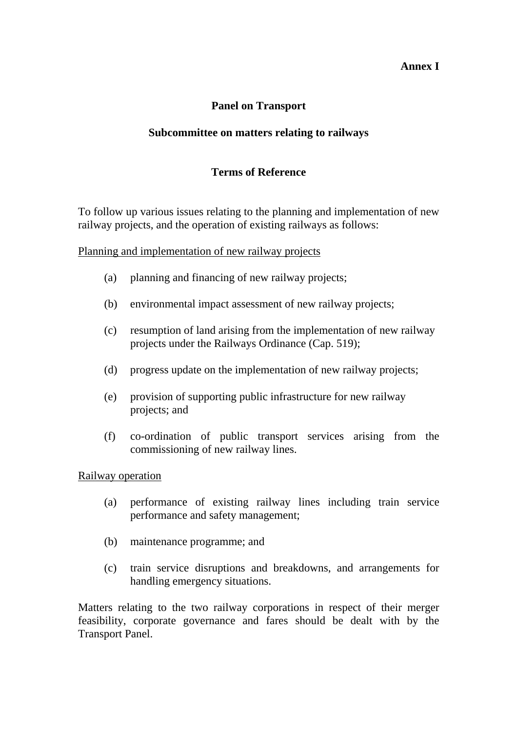## **Annex I**

# **Panel on Transport**

## **Subcommittee on matters relating to railways**

# **Terms of Reference**

To follow up various issues relating to the planning and implementation of new railway projects, and the operation of existing railways as follows:

Planning and implementation of new railway projects

- (a) planning and financing of new railway projects;
- (b) environmental impact assessment of new railway projects;
- (c) resumption of land arising from the implementation of new railway projects under the Railways Ordinance (Cap. 519);
- (d) progress update on the implementation of new railway projects;
- (e) provision of supporting public infrastructure for new railway projects; and
- (f) co-ordination of public transport services arising from the commissioning of new railway lines.

## Railway operation

- (a) performance of existing railway lines including train service performance and safety management;
- (b) maintenance programme; and
- (c) train service disruptions and breakdowns, and arrangements for handling emergency situations.

Matters relating to the two railway corporations in respect of their merger feasibility, corporate governance and fares should be dealt with by the Transport Panel.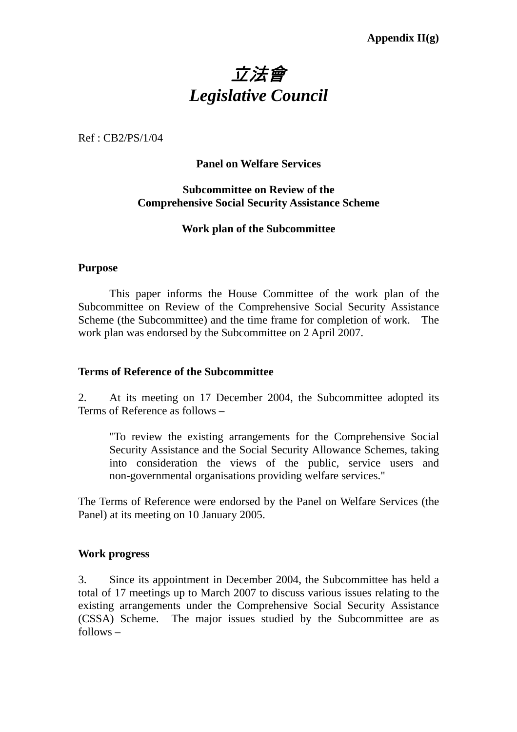# 立法會 *Legislative Council*

Ref : CB2/PS/1/04

## **Panel on Welfare Services**

## **Subcommittee on Review of the Comprehensive Social Security Assistance Scheme**

## **Work plan of the Subcommittee**

## **Purpose**

1. This paper informs the House Committee of the work plan of the Subcommittee on Review of the Comprehensive Social Security Assistance Scheme (the Subcommittee) and the time frame for completion of work. The work plan was endorsed by the Subcommittee on 2 April 2007.

#### **Terms of Reference of the Subcommittee**

2. At its meeting on 17 December 2004, the Subcommittee adopted its Terms of Reference as follows –

"To review the existing arrangements for the Comprehensive Social Security Assistance and the Social Security Allowance Schemes, taking into consideration the views of the public, service users and non-governmental organisations providing welfare services."

The Terms of Reference were endorsed by the Panel on Welfare Services (the Panel) at its meeting on 10 January 2005.

## **Work progress**

3. Since its appointment in December 2004, the Subcommittee has held a total of 17 meetings up to March 2007 to discuss various issues relating to the existing arrangements under the Comprehensive Social Security Assistance (CSSA) Scheme. The major issues studied by the Subcommittee are as follows –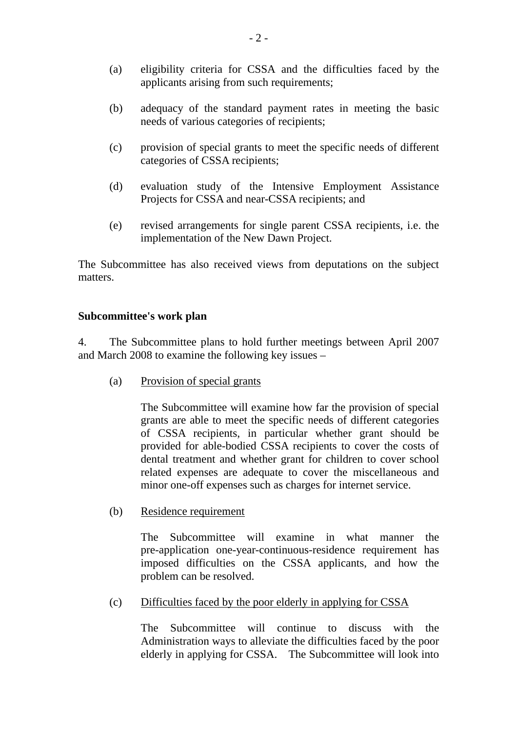- (a) eligibility criteria for CSSA and the difficulties faced by the applicants arising from such requirements;
- (b) adequacy of the standard payment rates in meeting the basic needs of various categories of recipients;
- (c) provision of special grants to meet the specific needs of different categories of CSSA recipients;
- (d) evaluation study of the Intensive Employment Assistance Projects for CSSA and near-CSSA recipients; and
- (e) revised arrangements for single parent CSSA recipients, i.e. the implementation of the New Dawn Project.

The Subcommittee has also received views from deputations on the subject matters.

## **Subcommittee's work plan**

4. The Subcommittee plans to hold further meetings between April 2007 and March 2008 to examine the following key issues –

(a) Provision of special grants

The Subcommittee will examine how far the provision of special grants are able to meet the specific needs of different categories of CSSA recipients, in particular whether grant should be provided for able-bodied CSSA recipients to cover the costs of dental treatment and whether grant for children to cover school related expenses are adequate to cover the miscellaneous and minor one-off expenses such as charges for internet service.

(b) Residence requirement

The Subcommittee will examine in what manner the pre-application one-year-continuous-residence requirement has imposed difficulties on the CSSA applicants, and how the problem can be resolved.

(c) Difficulties faced by the poor elderly in applying for CSSA

The Subcommittee will continue to discuss with the Administration ways to alleviate the difficulties faced by the poor elderly in applying for CSSA. The Subcommittee will look into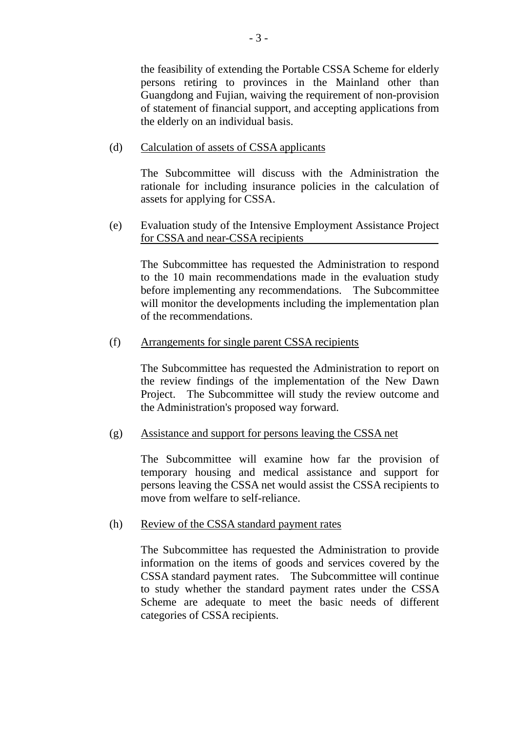the feasibility of extending the Portable CSSA Scheme for elderly persons retiring to provinces in the Mainland other than Guangdong and Fujian, waiving the requirement of non-provision of statement of financial support, and accepting applications from the elderly on an individual basis.

## (d) Calculation of assets of CSSA applicants

The Subcommittee will discuss with the Administration the rationale for including insurance policies in the calculation of assets for applying for CSSA.

 (e) Evaluation study of the Intensive Employment Assistance Project for CSSA and near-CSSA recipients

The Subcommittee has requested the Administration to respond to the 10 main recommendations made in the evaluation study before implementing any recommendations. The Subcommittee will monitor the developments including the implementation plan of the recommendations.

## (f) Arrangements for single parent CSSA recipients

The Subcommittee has requested the Administration to report on the review findings of the implementation of the New Dawn Project. The Subcommittee will study the review outcome and the Administration's proposed way forward.

## (g) Assistance and support for persons leaving the CSSA net

The Subcommittee will examine how far the provision of temporary housing and medical assistance and support for persons leaving the CSSA net would assist the CSSA recipients to move from welfare to self-reliance.

## (h) Review of the CSSA standard payment rates

The Subcommittee has requested the Administration to provide information on the items of goods and services covered by the CSSA standard payment rates. The Subcommittee will continue to study whether the standard payment rates under the CSSA Scheme are adequate to meet the basic needs of different categories of CSSA recipients.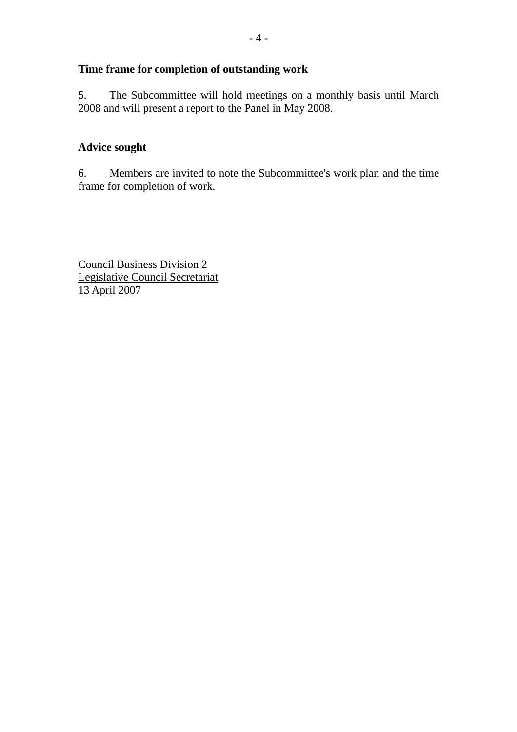# **Time frame for completion of outstanding work**

5. The Subcommittee will hold meetings on a monthly basis until March 2008 and will present a report to the Panel in May 2008.

# **Advice sought**

6. Members are invited to note the Subcommittee's work plan and the time frame for completion of work.

Council Business Division 2 Legislative Council Secretariat 13 April 2007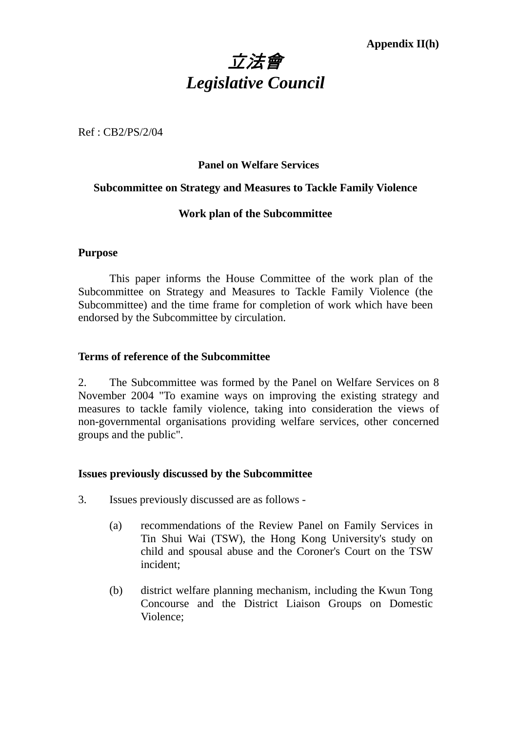

Ref : CB2/PS/2/04

## **Panel on Welfare Services**

## **Subcommittee on Strategy and Measures to Tackle Family Violence**

## **Work plan of the Subcommittee**

## **Purpose**

 This paper informs the House Committee of the work plan of the Subcommittee on Strategy and Measures to Tackle Family Violence (the Subcommittee) and the time frame for completion of work which have been endorsed by the Subcommittee by circulation.

## **Terms of reference of the Subcommittee**

2. The Subcommittee was formed by the Panel on Welfare Services on 8 November 2004 "To examine ways on improving the existing strategy and measures to tackle family violence, taking into consideration the views of non-governmental organisations providing welfare services, other concerned groups and the public".

## **Issues previously discussed by the Subcommittee**

- 3. Issues previously discussed are as follows
	- (a) recommendations of the Review Panel on Family Services in Tin Shui Wai (TSW), the Hong Kong University's study on child and spousal abuse and the Coroner's Court on the TSW incident;
	- (b) district welfare planning mechanism, including the Kwun Tong Concourse and the District Liaison Groups on Domestic Violence;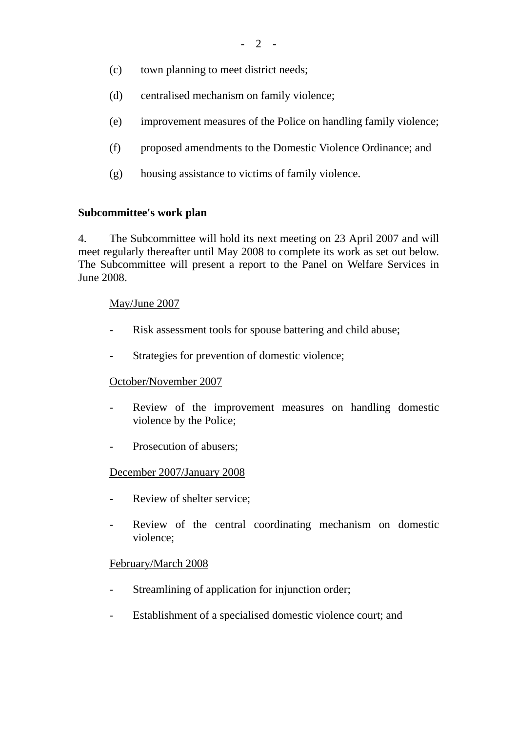- (c) town planning to meet district needs;
- (d) centralised mechanism on family violence;
- (e) improvement measures of the Police on handling family violence;
- (f) proposed amendments to the Domestic Violence Ordinance; and
- (g) housing assistance to victims of family violence.

## **Subcommittee's work plan**

4. The Subcommittee will hold its next meeting on 23 April 2007 and will meet regularly thereafter until May 2008 to complete its work as set out below. The Subcommittee will present a report to the Panel on Welfare Services in June 2008.

## May/June 2007

- Risk assessment tools for spouse battering and child abuse;
- Strategies for prevention of domestic violence;

# October/November 2007

- Review of the improvement measures on handling domestic violence by the Police;
- Prosecution of abusers:

## December 2007/January 2008

- Review of shelter service:
- Review of the central coordinating mechanism on domestic violence;

## February/March 2008

- Streamlining of application for injunction order;
- Establishment of a specialised domestic violence court; and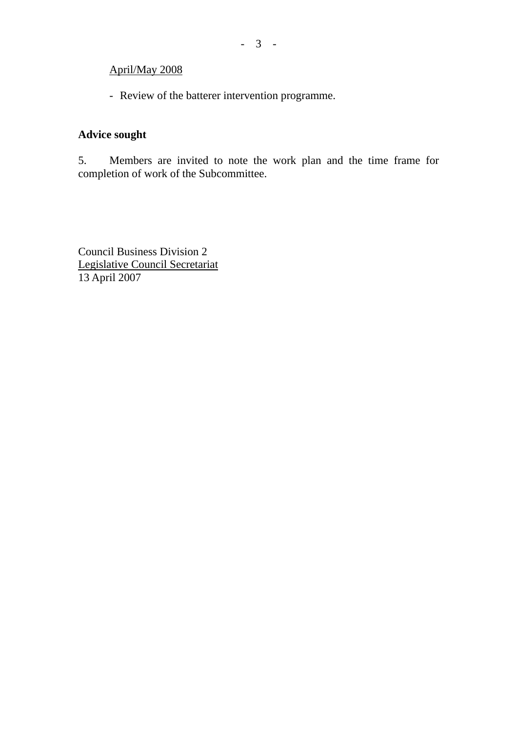## April/May 2008

- Review of the batterer intervention programme.

# **Advice sought**

5. Members are invited to note the work plan and the time frame for completion of work of the Subcommittee.

Council Business Division 2 Legislative Council Secretariat 13 April 2007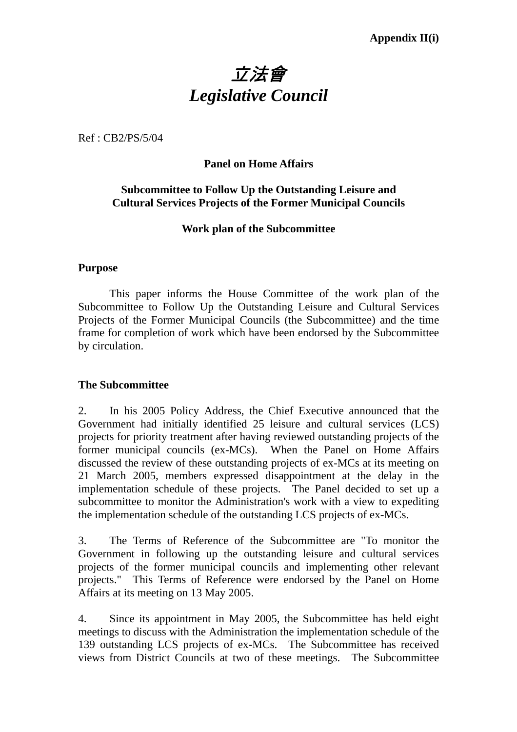# 立法會 *Legislative Council*

Ref : CB2/PS/5/04

# **Panel on Home Affairs**

# **Subcommittee to Follow Up the Outstanding Leisure and Cultural Services Projects of the Former Municipal Councils**

## **Work plan of the Subcommittee**

## **Purpose**

1. This paper informs the House Committee of the work plan of the Subcommittee to Follow Up the Outstanding Leisure and Cultural Services Projects of the Former Municipal Councils (the Subcommittee) and the time frame for completion of work which have been endorsed by the Subcommittee by circulation.

## **The Subcommittee**

2. In his 2005 Policy Address, the Chief Executive announced that the Government had initially identified 25 leisure and cultural services (LCS) projects for priority treatment after having reviewed outstanding projects of the former municipal councils (ex-MCs). When the Panel on Home Affairs discussed the review of these outstanding projects of ex-MCs at its meeting on 21 March 2005, members expressed disappointment at the delay in the implementation schedule of these projects. The Panel decided to set up a subcommittee to monitor the Administration's work with a view to expediting the implementation schedule of the outstanding LCS projects of ex-MCs.

3. The Terms of Reference of the Subcommittee are "To monitor the Government in following up the outstanding leisure and cultural services projects of the former municipal councils and implementing other relevant projects." This Terms of Reference were endorsed by the Panel on Home Affairs at its meeting on 13 May 2005.

4. Since its appointment in May 2005, the Subcommittee has held eight meetings to discuss with the Administration the implementation schedule of the 139 outstanding LCS projects of ex-MCs. The Subcommittee has received views from District Councils at two of these meetings. The Subcommittee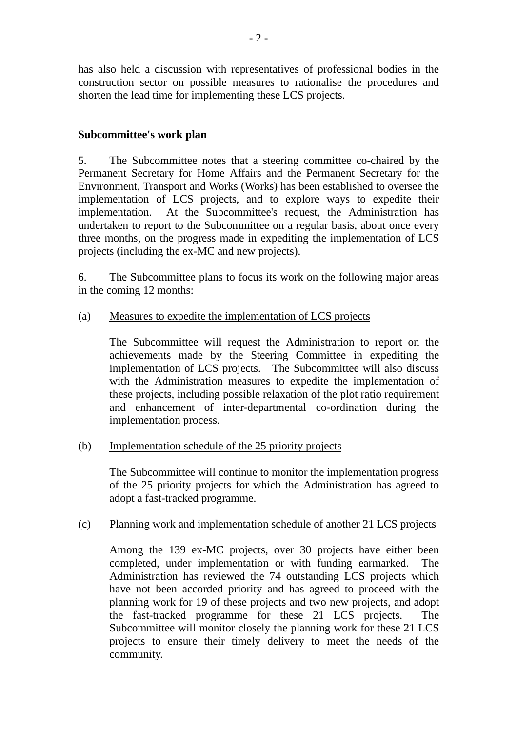has also held a discussion with representatives of professional bodies in the construction sector on possible measures to rationalise the procedures and shorten the lead time for implementing these LCS projects.

# **Subcommittee's work plan**

5. The Subcommittee notes that a steering committee co-chaired by the Permanent Secretary for Home Affairs and the Permanent Secretary for the Environment, Transport and Works (Works) has been established to oversee the implementation of LCS projects, and to explore ways to expedite their implementation. At the Subcommittee's request, the Administration has undertaken to report to the Subcommittee on a regular basis, about once every three months, on the progress made in expediting the implementation of LCS projects (including the ex-MC and new projects).

6. The Subcommittee plans to focus its work on the following major areas in the coming 12 months:

# (a) Measures to expedite the implementation of LCS projects

The Subcommittee will request the Administration to report on the achievements made by the Steering Committee in expediting the implementation of LCS projects. The Subcommittee will also discuss with the Administration measures to expedite the implementation of these projects, including possible relaxation of the plot ratio requirement and enhancement of inter-departmental co-ordination during the implementation process.

# (b) Implementation schedule of the 25 priority projects

The Subcommittee will continue to monitor the implementation progress of the 25 priority projects for which the Administration has agreed to adopt a fast-tracked programme.

# (c) Planning work and implementation schedule of another 21 LCS projects

Among the 139 ex-MC projects, over 30 projects have either been completed, under implementation or with funding earmarked. The Administration has reviewed the 74 outstanding LCS projects which have not been accorded priority and has agreed to proceed with the planning work for 19 of these projects and two new projects, and adopt the fast-tracked programme for these 21 LCS projects. The Subcommittee will monitor closely the planning work for these 21 LCS projects to ensure their timely delivery to meet the needs of the community.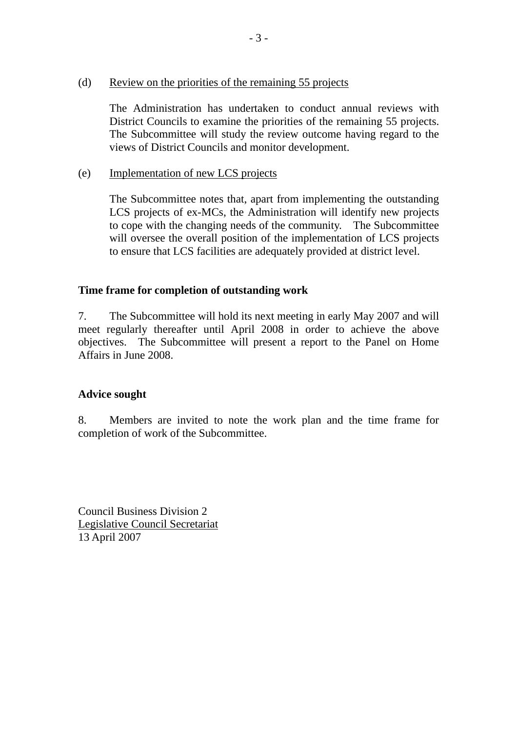## (d) Review on the priorities of the remaining 55 projects

The Administration has undertaken to conduct annual reviews with District Councils to examine the priorities of the remaining 55 projects. The Subcommittee will study the review outcome having regard to the views of District Councils and monitor development.

# (e) Implementation of new LCS projects

The Subcommittee notes that, apart from implementing the outstanding LCS projects of ex-MCs, the Administration will identify new projects to cope with the changing needs of the community. The Subcommittee will oversee the overall position of the implementation of LCS projects to ensure that LCS facilities are adequately provided at district level.

# **Time frame for completion of outstanding work**

7. The Subcommittee will hold its next meeting in early May 2007 and will meet regularly thereafter until April 2008 in order to achieve the above objectives. The Subcommittee will present a report to the Panel on Home Affairs in June 2008.

# **Advice sought**

8. Members are invited to note the work plan and the time frame for completion of work of the Subcommittee.

Council Business Division 2 Legislative Council Secretariat 13 April 2007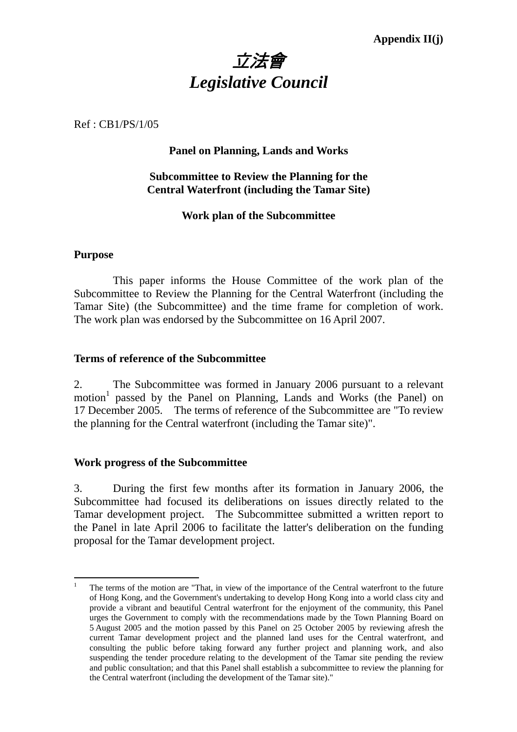# 立法會 *Legislative Council*

Ref : CB1/PS/1/05

# **Panel on Planning, Lands and Works**

# **Subcommittee to Review the Planning for the Central Waterfront (including the Tamar Site)**

# **Work plan of the Subcommittee**

## **Purpose**

 This paper informs the House Committee of the work plan of the Subcommittee to Review the Planning for the Central Waterfront (including the Tamar Site) (the Subcommittee) and the time frame for completion of work. The work plan was endorsed by the Subcommittee on 16 April 2007.

## **Terms of reference of the Subcommittee**

2. The Subcommittee was formed in January 2006 pursuant to a relevant motion<sup>1</sup> passed by the Panel on Planning, Lands and Works (the Panel) on 17 December 2005. The terms of reference of the Subcommittee are "To review the planning for the Central waterfront (including the Tamar site)".

## **Work progress of the Subcommittee**

3. During the first few months after its formation in January 2006, the Subcommittee had focused its deliberations on issues directly related to the Tamar development project. The Subcommittee submitted a written report to the Panel in late April 2006 to facilitate the latter's deliberation on the funding proposal for the Tamar development project.

 $\overline{a}$ 1 The terms of the motion are "That, in view of the importance of the Central waterfront to the future of Hong Kong, and the Government's undertaking to develop Hong Kong into a world class city and provide a vibrant and beautiful Central waterfront for the enjoyment of the community, this Panel urges the Government to comply with the recommendations made by the Town Planning Board on 5 August 2005 and the motion passed by this Panel on 25 October 2005 by reviewing afresh the current Tamar development project and the planned land uses for the Central waterfront, and consulting the public before taking forward any further project and planning work, and also suspending the tender procedure relating to the development of the Tamar site pending the review and public consultation; and that this Panel shall establish a subcommittee to review the planning for the Central waterfront (including the development of the Tamar site)."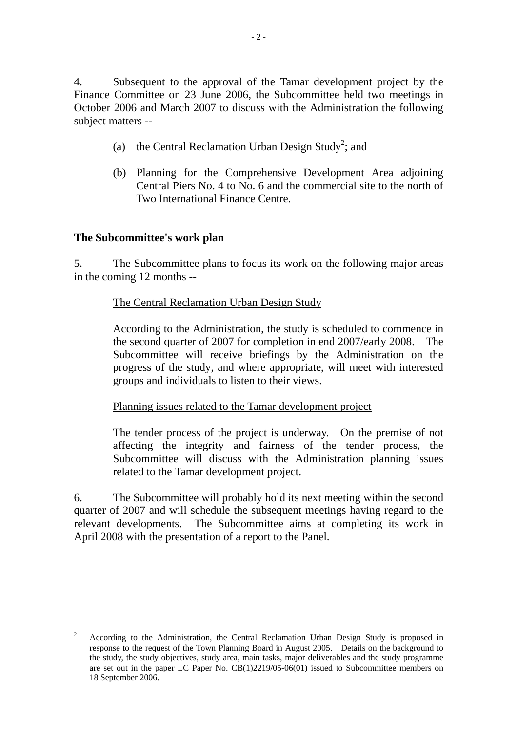4. Subsequent to the approval of the Tamar development project by the Finance Committee on 23 June 2006, the Subcommittee held two meetings in October 2006 and March 2007 to discuss with the Administration the following subject matters --

- (a) the Central Reclamation Urban Design Study<sup>2</sup>; and
- (b) Planning for the Comprehensive Development Area adjoining Central Piers No. 4 to No. 6 and the commercial site to the north of Two International Finance Centre.

# **The Subcommittee's work plan**

 $\overline{a}$ 

5. The Subcommittee plans to focus its work on the following major areas in the coming 12 months --

# The Central Reclamation Urban Design Study

According to the Administration, the study is scheduled to commence in the second quarter of 2007 for completion in end 2007/early 2008. The Subcommittee will receive briefings by the Administration on the progress of the study, and where appropriate, will meet with interested groups and individuals to listen to their views.

Planning issues related to the Tamar development project

The tender process of the project is underway. On the premise of not affecting the integrity and fairness of the tender process, the Subcommittee will discuss with the Administration planning issues related to the Tamar development project.

6. The Subcommittee will probably hold its next meeting within the second quarter of 2007 and will schedule the subsequent meetings having regard to the relevant developments. The Subcommittee aims at completing its work in April 2008 with the presentation of a report to the Panel.

<sup>2</sup> According to the Administration, the Central Reclamation Urban Design Study is proposed in response to the request of the Town Planning Board in August 2005. Details on the background to the study, the study objectives, study area, main tasks, major deliverables and the study programme are set out in the paper LC Paper No. CB(1)2219/05-06(01) issued to Subcommittee members on 18 September 2006.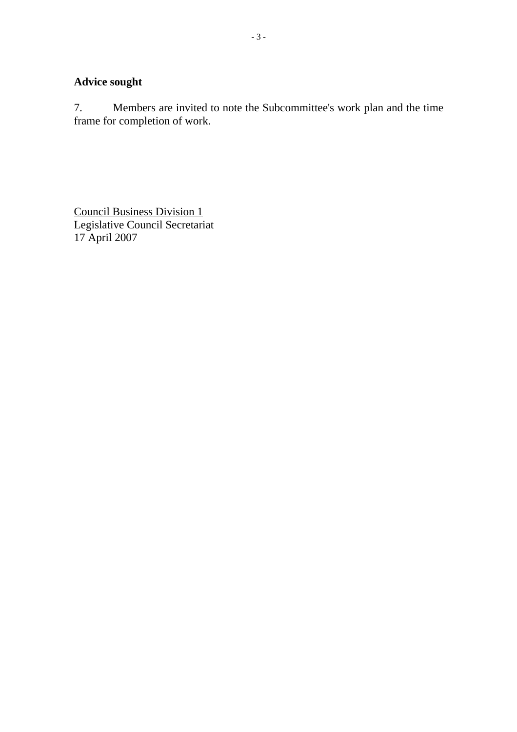# **Advice sought**

7. Members are invited to note the Subcommittee's work plan and the time frame for completion of work.

Council Business Division 1 Legislative Council Secretariat 17 April 2007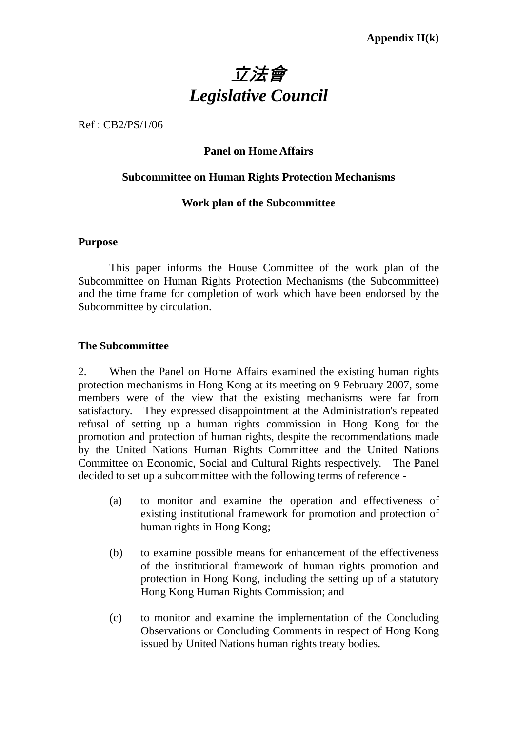

Ref : CB2/PS/1/06

# **Panel on Home Affairs**

## **Subcommittee on Human Rights Protection Mechanisms**

## **Work plan of the Subcommittee**

#### **Purpose**

This paper informs the House Committee of the work plan of the Subcommittee on Human Rights Protection Mechanisms (the Subcommittee) and the time frame for completion of work which have been endorsed by the Subcommittee by circulation.

## **The Subcommittee**

2. When the Panel on Home Affairs examined the existing human rights protection mechanisms in Hong Kong at its meeting on 9 February 2007, some members were of the view that the existing mechanisms were far from satisfactory. They expressed disappointment at the Administration's repeated refusal of setting up a human rights commission in Hong Kong for the promotion and protection of human rights, despite the recommendations made by the United Nations Human Rights Committee and the United Nations Committee on Economic, Social and Cultural Rights respectively. The Panel decided to set up a subcommittee with the following terms of reference -

- (a) to monitor and examine the operation and effectiveness of existing institutional framework for promotion and protection of human rights in Hong Kong;
- (b) to examine possible means for enhancement of the effectiveness of the institutional framework of human rights promotion and protection in Hong Kong, including the setting up of a statutory Hong Kong Human Rights Commission; and
- (c) to monitor and examine the implementation of the Concluding Observations or Concluding Comments in respect of Hong Kong issued by United Nations human rights treaty bodies.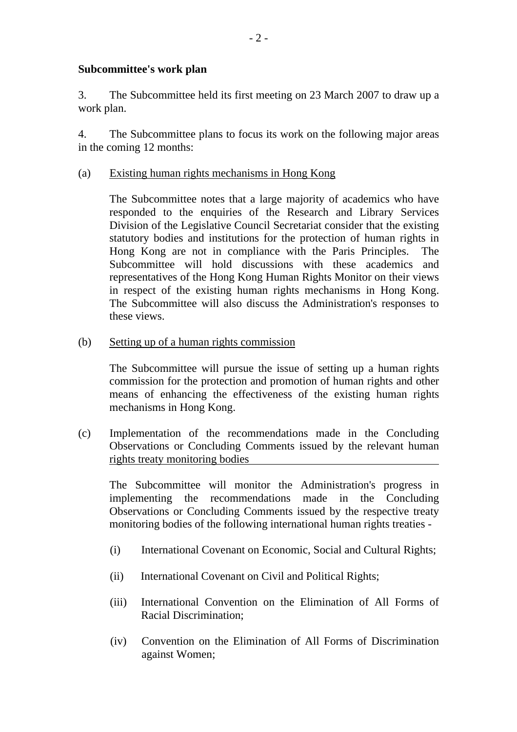## **Subcommittee's work plan**

3. The Subcommittee held its first meeting on 23 March 2007 to draw up a work plan.

4. The Subcommittee plans to focus its work on the following major areas in the coming 12 months:

## (a) Existing human rights mechanisms in Hong Kong

The Subcommittee notes that a large majority of academics who have responded to the enquiries of the Research and Library Services Division of the Legislative Council Secretariat consider that the existing statutory bodies and institutions for the protection of human rights in Hong Kong are not in compliance with the Paris Principles. The Subcommittee will hold discussions with these academics and representatives of the Hong Kong Human Rights Monitor on their views in respect of the existing human rights mechanisms in Hong Kong. The Subcommittee will also discuss the Administration's responses to these views.

(b) Setting up of a human rights commission

The Subcommittee will pursue the issue of setting up a human rights commission for the protection and promotion of human rights and other means of enhancing the effectiveness of the existing human rights mechanisms in Hong Kong.

(c) Implementation of the recommendations made in the Concluding Observations or Concluding Comments issued by the relevant human rights treaty monitoring bodies

The Subcommittee will monitor the Administration's progress in implementing the recommendations made in the Concluding Observations or Concluding Comments issued by the respective treaty monitoring bodies of the following international human rights treaties -

- (i) International Covenant on Economic, Social and Cultural Rights;
- (ii) International Covenant on Civil and Political Rights;
- (iii) International Convention on the Elimination of All Forms of Racial Discrimination;
- (iv) Convention on the Elimination of All Forms of Discrimination against Women;